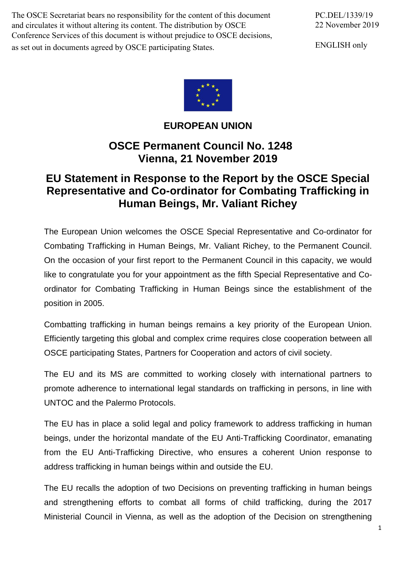The OSCE Secretariat bears no responsibility for the content of this document and circulates it without altering its content. The distribution by OSCE Conference Services of this document is without prejudice to OSCE decisions, as set out in documents agreed by OSCE participating States.

ENGLISH only



### **EUROPEAN UNION**

## **OSCE Permanent Council No. 1248 Vienna, 21 November 2019**

# **EU Statement in Response to the Report by the OSCE Special Representative and Co-ordinator for Combating Trafficking in Human Beings, Mr. Valiant Richey**

The European Union welcomes the OSCE Special Representative and Co-ordinator for Combating Trafficking in Human Beings, Mr. Valiant Richey, to the Permanent Council. On the occasion of your first report to the Permanent Council in this capacity, we would like to congratulate you for your appointment as the fifth Special Representative and Coordinator for Combating Trafficking in Human Beings since the establishment of the position in 2005.

Combatting trafficking in human beings remains a key priority of the European Union. Efficiently targeting this global and complex crime requires close cooperation between all OSCE participating States, Partners for Cooperation and actors of civil society.

The EU and its MS are committed to working closely with international partners to promote adherence to international legal standards on trafficking in persons, in line with UNTOC and the Palermo Protocols.

The EU has in place a solid legal and policy framework to address trafficking in human beings, under the horizontal mandate of the EU Anti-Trafficking Coordinator, emanating from the EU Anti-Trafficking Directive, who ensures a coherent Union response to address trafficking in human beings within and outside the EU.

The EU recalls the adoption of two Decisions on preventing trafficking in human beings and strengthening efforts to combat all forms of child trafficking, during the 2017 Ministerial Council in Vienna, as well as the adoption of the Decision on strengthening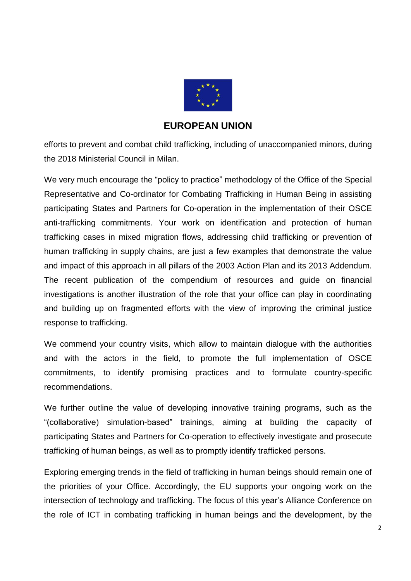

#### **EUROPEAN UNION**

efforts to prevent and combat child trafficking, including of unaccompanied minors, during the 2018 Ministerial Council in Milan.

We very much encourage the "policy to practice" methodology of the Office of the Special Representative and Co-ordinator for Combating Trafficking in Human Being in assisting participating States and Partners for Co-operation in the implementation of their OSCE anti-trafficking commitments. Your work on identification and protection of human trafficking cases in mixed migration flows, addressing child trafficking or prevention of human trafficking in supply chains, are just a few examples that demonstrate the value and impact of this approach in all pillars of the 2003 Action Plan and its 2013 Addendum. The recent publication of the compendium of resources and guide on financial investigations is another illustration of the role that your office can play in coordinating and building up on fragmented efforts with the view of improving the criminal justice response to trafficking.

We commend your country visits, which allow to maintain dialogue with the authorities and with the actors in the field, to promote the full implementation of OSCE commitments, to identify promising practices and to formulate country-specific recommendations.

We further outline the value of developing innovative training programs, such as the "(collaborative) simulation-based" trainings, aiming at building the capacity of participating States and Partners for Co-operation to effectively investigate and prosecute trafficking of human beings, as well as to promptly identify trafficked persons.

Exploring emerging trends in the field of trafficking in human beings should remain one of the priorities of your Office. Accordingly, the EU supports your ongoing work on the intersection of technology and trafficking. The focus of this year's Alliance Conference on the role of ICT in combating trafficking in human beings and the development, by the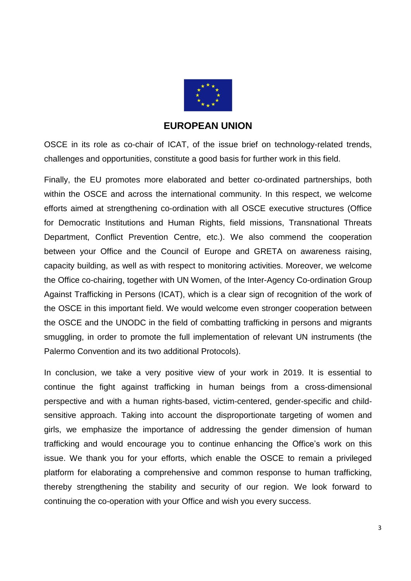

#### **EUROPEAN UNION**

OSCE in its role as co-chair of ICAT, of the issue brief on technology-related trends, challenges and opportunities, constitute a good basis for further work in this field.

Finally, the EU promotes more elaborated and better co-ordinated partnerships, both within the OSCE and across the international community. In this respect, we welcome efforts aimed at strengthening co-ordination with all OSCE executive structures (Office for Democratic Institutions and Human Rights, field missions, Transnational Threats Department, Conflict Prevention Centre, etc.). We also commend the cooperation between your Office and the Council of Europe and GRETA on awareness raising, capacity building, as well as with respect to monitoring activities. Moreover, we welcome the Office co-chairing, together with UN Women, of the Inter-Agency Co-ordination Group Against Trafficking in Persons (ICAT), which is a clear sign of recognition of the work of the OSCE in this important field. We would welcome even stronger cooperation between the OSCE and the UNODC in the field of combatting trafficking in persons and migrants smuggling, in order to promote the full implementation of relevant UN instruments (the Palermo Convention and its two additional Protocols).

In conclusion, we take a very positive view of your work in 2019. It is essential to continue the fight against trafficking in human beings from a cross-dimensional perspective and with a human rights-based, victim-centered, gender-specific and childsensitive approach. Taking into account the disproportionate targeting of women and girls, we emphasize the importance of addressing the gender dimension of human trafficking and would encourage you to continue enhancing the Office's work on this issue. We thank you for your efforts, which enable the OSCE to remain a privileged platform for elaborating a comprehensive and common response to human trafficking, thereby strengthening the stability and security of our region. We look forward to continuing the co-operation with your Office and wish you every success.